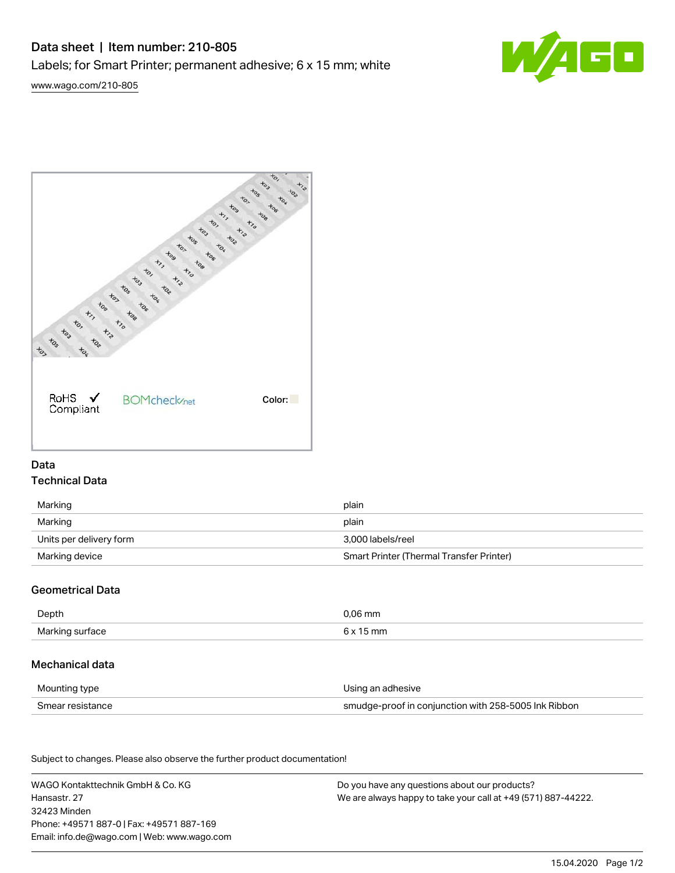# Data sheet | Item number: 210-805

Labels; for Smart Printer; permanent adhesive; 6 x 15 mm; white

[www.wago.com/210-805](http://www.wago.com/210-805)





## Data Technical Data

| Marking                 | plain                                    |  |
|-------------------------|------------------------------------------|--|
| Marking                 | plain                                    |  |
| Units per delivery form | 3.000 labels/reel                        |  |
| Marking device          | Smart Printer (Thermal Transfer Printer) |  |

## Geometrical Data

| Depth           | 0.06 mm           |
|-----------------|-------------------|
| Marking surface | 15 mm<br>$6 \vee$ |

## Mechanical data

| Mounting type    | Using an adhesive                                    |
|------------------|------------------------------------------------------|
| Smear resistance | smudge-proof in conjunction with 258-5005 Ink Ribbon |

Subject to changes. Please also observe the further product documentation! Material Data

| WAGO Kontakttechnik GmbH & Co. KG           | Do you have any questions about our products?                 |
|---------------------------------------------|---------------------------------------------------------------|
| Hansastr. 27                                | We are always happy to take your call at +49 (571) 887-44222. |
| 32423 Minden                                |                                                               |
| Phone: +49571 887-01 Fax: +49571 887-169    |                                                               |
| Email: info.de@wago.com   Web: www.wago.com |                                                               |